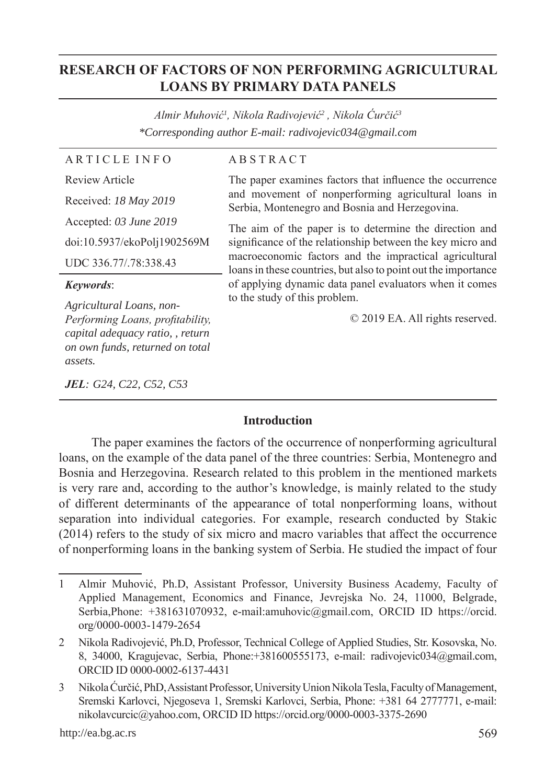# **RESEARCH OF FACTORS OF NON PERFORMING AGRICULTURAL LOANS BY PRIMARY DATA PANELS**

*Almir Muhović<sup>1</sup> , Nikola Radivojević<sup>2</sup> , Nikola Ćurčić<sup>3</sup> \*Corresponding author E-mail: radivojevic034@gmail.com*

| <b>ARTICLE INFO</b>                                          | <b>ABSTRACT</b>                                                                                                          |
|--------------------------------------------------------------|--------------------------------------------------------------------------------------------------------------------------|
| Review Article                                               | The paper examines factors that influence the occurrence                                                                 |
| Received: 18 May 2019                                        | and movement of nonperforming agricultural loans in<br>Serbia, Montenegro and Bosnia and Herzegovina.                    |
| Accepted: 03 June 2019                                       | The aim of the paper is to determine the direction and                                                                   |
| doi:10.5937/ekoPolj1902569M                                  | significance of the relationship between the key micro and                                                               |
| UDC 336.77/.78:338.43                                        | macroeconomic factors and the impractical agricultural<br>loans in these countries, but also to point out the importance |
|                                                              |                                                                                                                          |
| <i>Keywords:</i>                                             | of applying dynamic data panel evaluators when it comes                                                                  |
|                                                              | to the study of this problem.                                                                                            |
| Agricultural Loans, non-<br>Performing Loans, profitability, | © 2019 EA. All rights reserved.                                                                                          |
| capital adequacy ratio, , return                             |                                                                                                                          |
| on own funds, returned on total<br>assets.                   |                                                                                                                          |

### **Introduction**

The paper examines the factors of the occurrence of nonperforming agricultural loans, on the example of the data panel of the three countries: Serbia, Montenegro and Bosnia and Herzegovina. Research related to this problem in the mentioned markets is very rare and, according to the author's knowledge, is mainly related to the study of different determinants of the appearance of total nonperforming loans, without separation into individual categories. For example, research conducted by Stakic (2014) refers to the study of six micro and macro variables that affect the occurrence of nonperforming loans in the banking system of Serbia. He studied the impact of four

<sup>1</sup> Almir Muhović, Ph.D, Assistant Professor, University Business Academy, Faculty of Applied Management, Economics and Finance, Jevrejska No. 24, 11000, Belgrade, Serbia,Phone: +381631070932, e-mail:amuhovic@gmail.com, ORCID ID https://orcid. org/0000-0003-1479-2654

<sup>2</sup> Nikola Radivojević, Ph.D, Professor, Technical College of Applied Studies, Str. Kosovska, No. 8, 34000, Kragujevac, Serbia, Phone:+381600555173, e-mail: radivojevic034@gmail.com, ORCID ID 0000-0002-6137-4431

<sup>3</sup> Nikola Ćurčić, PhD, Assistant Professor, University Union Nikola Tesla, Faculty of Management, Sremski Karlovci, Njegoseva 1, Sremski Karlovci, Serbia, Phone: +381 64 2777771, e-mail: nikolavcurcic@yahoo.com, ORCID ID https://orcid.org/0000-0003-3375-2690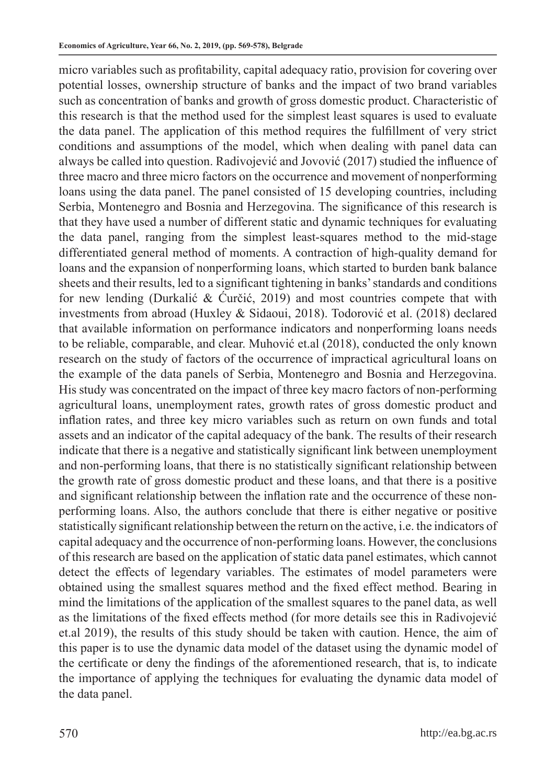micro variables such as profitability, capital adequacy ratio, provision for covering over potential losses, ownership structure of banks and the impact of two brand variables such as concentration of banks and growth of gross domestic product. Characteristic of this research is that the method used for the simplest least squares is used to evaluate the data panel. The application of this method requires the fulfillment of very strict conditions and assumptions of the model, which when dealing with panel data can always be called into question. Radivojević and Jovović (2017) studied the influence of three macro and three micro factors on the occurrence and movement of nonperforming loans using the data panel. The panel consisted of 15 developing countries, including Serbia, Montenegro and Bosnia and Herzegovina. The significance of this research is that they have used a number of different static and dynamic techniques for evaluating the data panel, ranging from the simplest least-squares method to the mid-stage differentiated general method of moments. A contraction of high-quality demand for loans and the expansion of nonperforming loans, which started to burden bank balance sheets and their results, led to a significant tightening in banks' standards and conditions for new lending (Durkalić & Ćurčić, 2019) and most countries compete that with investments from abroad (Huxley & Sidaoui, 2018). Todorović et al. (2018) declared that available information on performance indicators and nonperforming loans needs to be reliable, comparable, and clear. Muhović et.al (2018), conducted the only known research on the study of factors of the occurrence of impractical agricultural loans on the example of the data panels of Serbia, Montenegro and Bosnia and Herzegovina. His study was concentrated on the impact of three key macro factors of non-performing agricultural loans, unemployment rates, growth rates of gross domestic product and inflation rates, and three key micro variables such as return on own funds and total assets and an indicator of the capital adequacy of the bank. The results of their research indicate that there is a negative and statistically significant link between unemployment and non-performing loans, that there is no statistically significant relationship between the growth rate of gross domestic product and these loans, and that there is a positive and significant relationship between the inflation rate and the occurrence of these nonperforming loans. Also, the authors conclude that there is either negative or positive statistically significant relationship between the return on the active, i.e. the indicators of capital adequacy and the occurrence of non-performing loans. However, the conclusions of this research are based on the application of static data panel estimates, which cannot detect the effects of legendary variables. The estimates of model parameters were obtained using the smallest squares method and the fixed effect method. Bearing in mind the limitations of the application of the smallest squares to the panel data, as well as the limitations of the fixed effects method (for more details see this in Radivojević et.al 2019), the results of this study should be taken with caution. Hence, the aim of this paper is to use the dynamic data model of the dataset using the dynamic model of the certificate or deny the findings of the aforementioned research, that is, to indicate the importance of applying the techniques for evaluating the dynamic data model of the data panel.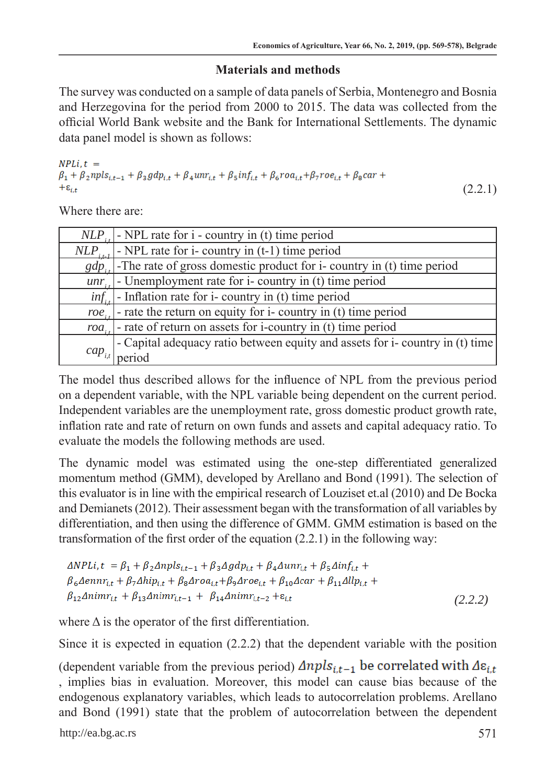# **Materials and methods**

The survey was conducted on a sample of data panels of Serbia, Montenegro and Bosnia and Herzegovina for the period from 2000 to 2015. The data was collected from the official World Bank website and the Bank for International Settlements. The dynamic data panel model is shown as follows:

 $NPLi, t =$  $\beta_1 + \beta_2 npls_{i,t-1} + \beta_3 gdp_{i,t} + \beta_4 unr_{i,t} + \beta_5 inf_{i,t} + \beta_6 roa_{i,t} + \beta_7 roe_{i,t} + \beta_8 car +$  $+\varepsilon_{i,t}$ 

(2.2.1)

Where there are:

| NLP         | - NPL rate for i - country in (t) time period                                                                                               |
|-------------|---------------------------------------------------------------------------------------------------------------------------------------------|
| NLP.        | - NPL rate for $i$ - country in $(t-1)$ time period                                                                                         |
|             | $gdP_{ij}$ -The rate of gross domestic product for i- country in (t) time period unr.                                                       |
|             |                                                                                                                                             |
|             | $inf_{i}$ - Inflation rate for i- country in (t) time period                                                                                |
|             | $\overrightarrow{roe}_{i}$ - rate the return on equity for i- country in (t) time period                                                    |
| $roa_{i}$   | - rate of return on assets for i-country in (t) time period<br>- Capital adequacy ratio between equity and assets for i-country in (t) time |
|             |                                                                                                                                             |
| $cap_{i,t}$ | period                                                                                                                                      |

The model thus described allows for the influence of NPL from the previous period on a dependent variable, with the NPL variable being dependent on the current period. Independent variables are the unemployment rate, gross domestic product growth rate, inflation rate and rate of return on own funds and assets and capital adequacy ratio. To evaluate the models the following methods are used.

The dynamic model was estimated using the one-step differentiated generalized momentum method (GMM), developed by Arellano and Bond (1991). The selection of this evaluator is in line with the empirical research of Louziset et.al (2010) and De Bocka and Demianets (2012). Their assessment began with the transformation of all variables by differentiation, and then using the difference of GMM. GMM estimation is based on the transformation of the first order of the equation (2.2.1) in the following way:

```
\Delta NPLi, t = \beta_1 + \beta_2 \Delta npls_{i,t-1} + \beta_3 \Delta gdp_{i,t} + \beta_4 \Delta unr_{i,t} + \beta_5 \Delta inf_{i,t} +\beta_6 \Delta ennr_{i,t} + \beta_7 \Delta hip_{i,t} + \beta_8 \Delta roa_{i,t} + \beta_9 \Delta roe_{i,t} + \beta_{10} \Delta car + \beta_{11} \Delta llp_{i,t} +\beta_{12}\Delta nimr_{i,t} + \beta_{13}\Delta nimr_{i,t-1} + \beta_{14}\Delta nimr_{i,t-2} + \varepsilon_{i,t} (2.2.2)
```
where  $\Delta$  is the operator of the first differentiation.

Since it is expected in equation (2.2.2) that the dependent variable with the position

(dependent variable from the previous period)  $\Delta npls_{i,t-1}$  be correlated with  $\Delta \varepsilon_{i,t}$ , implies bias in evaluation. Moreover, this model can cause bias because of the endogenous explanatory variables, which leads to autocorrelation problems. Arellano and Bond (1991) state that the problem of autocorrelation between the dependent

http://ea.bg.ac.rs 571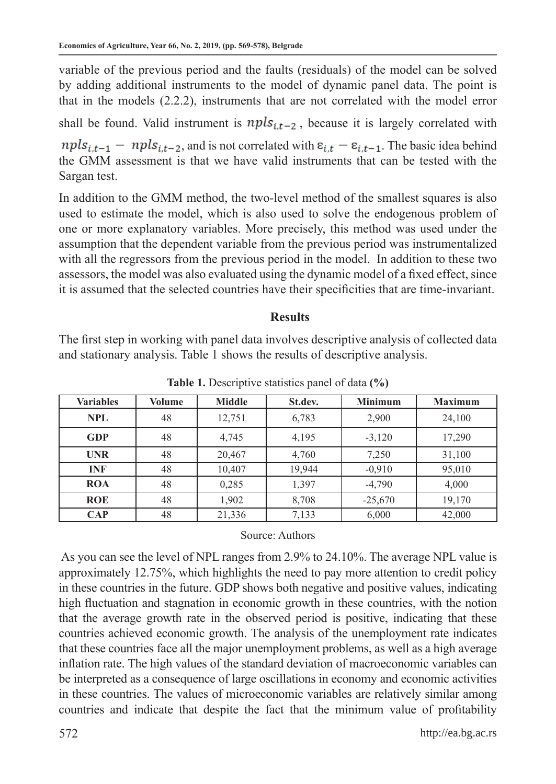variable of the previous period and the faults (residuals) of the model can be solved by adding additional instruments to the model of dynamic panel data. The point is that in the models (2.2.2), instruments that are not correlated with the model error

shall be found. Valid instrument is  $npls_{i,t-2}$ , because it is largely correlated with

 $npls_{i,t-1}$  –  $npls_{i,t-2}$ , and is not correlated with  $\varepsilon_{i,t}$  –  $\varepsilon_{i,t-1}$ . The basic idea behind the GMM assessment is that we have valid instruments that can be tested with the Sargan test.

In addition to the GMM method, the two-level method of the smallest squares is also used to estimate the model, which is also used to solve the endogenous problem of one or more explanatory variables. More precisely, this method was used under the assumption that the dependent variable from the previous period was instrumentalized with all the regressors from the previous period in the model. In addition to these two assessors, the model was also evaluated using the dynamic model of a fixed effect, since it is assumed that the selected countries have their specificities that are time-invariant.

#### **Results**

The first step in working with panel data involves descriptive analysis of collected data and stationary analysis. Table 1 shows the results of descriptive analysis.

| <b>Variables</b> | Volume | <b>Middle</b> | St.dev. | <b>Minimum</b> | <b>Maximum</b> |
|------------------|--------|---------------|---------|----------------|----------------|
| <b>NPL</b>       | 48     | 12,751        | 6,783   | 2,900          | 24,100         |
| <b>GDP</b>       | 48     | 4,745         | 4,195   | $-3,120$       | 17,290         |
| <b>UNR</b>       | 48     | 20,467        | 4,760   | 7,250          | 31,100         |
| <b>INF</b>       | 48     | 10,407        | 19,944  | $-0.910$       | 95,010         |
| <b>ROA</b>       | 48     | 0,285         | 1,397   | $-4,790$       | 4,000          |
| <b>ROE</b>       | 48     | 1,902         | 8,708   | $-25,670$      | 19,170         |
| $\bf CAP$        | 48     | 21,336        | 7,133   | 6,000          | 42,000         |

**Table 1.** Descriptive statistics panel of data **(%)** 

#### Source: Authors

 As you can see the level of NPL ranges from 2.9% to 24.10%. The average NPL value is approximately 12.75%, which highlights the need to pay more attention to credit policy in these countries in the future. GDP shows both negative and positive values, indicating high fluctuation and stagnation in economic growth in these countries, with the notion that the average growth rate in the observed period is positive, indicating that these countries achieved economic growth. The analysis of the unemployment rate indicates that these countries face all the major unemployment problems, as well as a high average inflation rate. The high values of the standard deviation of macroeconomic variables can be interpreted as a consequence of large oscillations in economy and economic activities in these countries. The values of microeconomic variables are relatively similar among countries and indicate that despite the fact that the minimum value of profitability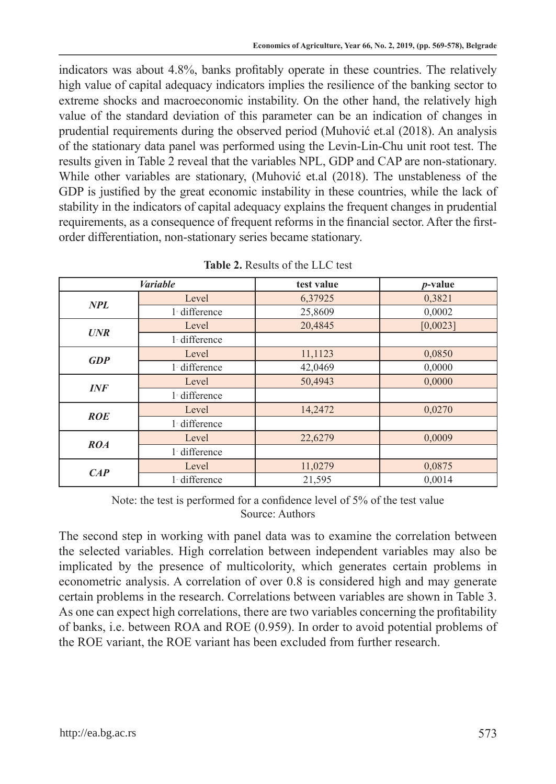indicators was about 4.8%, banks profitably operate in these countries. The relatively high value of capital adequacy indicators implies the resilience of the banking sector to extreme shocks and macroeconomic instability. On the other hand, the relatively high value of the standard deviation of this parameter can be an indication of changes in prudential requirements during the observed period (Muhović et.al (2018). An analysis of the stationary data panel was performed using the Levin-Lin-Chu unit root test. The results given in Table 2 reveal that the variables NPL, GDP and CAP are non-stationary. While other variables are stationary, (Muhović et.al (2018). The unstableness of the GDP is justified by the great economic instability in these countries, while the lack of stability in the indicators of capital adequacy explains the frequent changes in prudential requirements, as a consequence of frequent reforms in the financial sector. After the firstorder differentiation, non-stationary series became stationary.

| <b>Variable</b> |              | test value | $p$ -value |  |
|-----------------|--------------|------------|------------|--|
| NPL             | Level        | 6,37925    | 0,3821     |  |
|                 | 1 difference | 25,8609    | 0,0002     |  |
| <b>UNR</b>      | Level        | 20,4845    | [0,0023]   |  |
|                 | 1 difference |            |            |  |
| GDP             | Level        | 11,1123    | 0,0850     |  |
|                 | 1 difference | 42,0469    | 0,0000     |  |
| INF             | Level        | 50,4943    | 0,0000     |  |
|                 | 1 difference |            |            |  |
|                 | Level        | 14,2472    | 0,0270     |  |
| <b>ROE</b>      | 1 difference |            |            |  |
|                 | Level        | 22,6279    | 0,0009     |  |
| ROA             | 1 difference |            |            |  |
|                 | Level        | 11,0279    | 0,0875     |  |
| CAP             | 1 difference | 21,595     | 0.0014     |  |

|  |  |  | <b>Table 2.</b> Results of the LLC test |
|--|--|--|-----------------------------------------|
|--|--|--|-----------------------------------------|

Note: the test is performed for a confidence level of 5% of the test value Source: Authors

The second step in working with panel data was to examine the correlation between the selected variables. High correlation between independent variables may also be implicated by the presence of multicolority, which generates certain problems in econometric analysis. A correlation of over 0.8 is considered high and may generate certain problems in the research. Correlations between variables are shown in Table 3. As one can expect high correlations, there are two variables concerning the profitability of banks, i.e. between ROA and ROE (0.959). In order to avoid potential problems of the ROE variant, the ROE variant has been excluded from further research.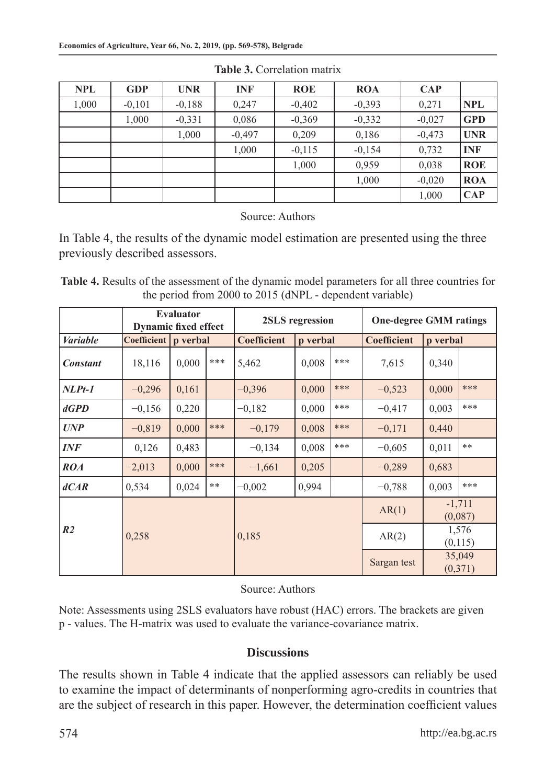| <b>NPL</b> | <b>GDP</b> | <b>UNR</b> | <b>INF</b> | <b>ROE</b> | <b>ROA</b> | <b>CAP</b> |            |
|------------|------------|------------|------------|------------|------------|------------|------------|
| 1,000      | $-0,101$   | $-0.188$   | 0,247      | $-0,402$   | $-0.393$   | 0,271      | <b>NPL</b> |
|            | 1,000      | $-0.331$   | 0,086      | $-0.369$   | $-0,332$   | $-0.027$   | <b>GPD</b> |
|            |            | 1,000      | $-0.497$   | 0,209      | 0,186      | $-0,473$   | <b>UNR</b> |
|            |            |            | 1,000      | $-0,115$   | $-0.154$   | 0,732      | <b>INF</b> |
|            |            |            |            | 1,000      | 0,959      | 0.038      | <b>ROE</b> |
|            |            |            |            |            | 1,000      | $-0.020$   | <b>ROA</b> |
|            |            |            |            |            |            | 1,000      | CAP        |

**Table 3.** Correlation matrix

Source: Authors

In Table 4, the results of the dynamic model estimation are presented using the three previously described assessors.

**Table 4.** Results of the assessment of the dynamic model parameters for all three countries for the period from 2000 to 2015 (dNPL - dependent variable)

|                 | <b>Evaluator</b><br><b>Dynamic fixed effect</b> |          |     | 2SLS regression    |          |             | <b>One-degree GMM ratings</b> |                     |                  |
|-----------------|-------------------------------------------------|----------|-----|--------------------|----------|-------------|-------------------------------|---------------------|------------------|
| <b>Variable</b> | Coefficient                                     | p verbal |     | <b>Coefficient</b> | p verbal |             | <b>Coefficient</b>            | p verbal            |                  |
| <b>Constant</b> | 18,116                                          | 0,000    | *** | 5,462              | 0,008    | ***         | 7,615                         | 0,340               |                  |
| $NLPt-1$        | $-0,296$                                        | 0,161    |     | $-0.396$           | 0,000    | ***         | $-0,523$                      | 0,000               | ***              |
| dGPD            | $-0.156$                                        | 0,220    |     | $-0.182$           | 0,000    | ***         | $-0.417$                      | 0,003               | ***              |
| <b>UNP</b>      | $-0.819$                                        | 0,000    | *** | $-0.179$           | 0,008    | ***         | $-0,171$                      | 0,440               |                  |
| <b>INF</b>      | 0,126                                           | 0,483    |     | $-0.134$           | 0,008    | ***         | $-0.605$                      | 0,011               | **               |
| ROA             | $-2,013$                                        | 0,000    | *** | $-1,661$           | 0,205    |             | $-0.289$                      | 0,683               |                  |
| dCAR            | 0,534                                           | 0,024    | **  | $-0.002$           | 0,994    |             | $-0.788$                      | 0,003               | ***              |
|                 |                                                 |          |     |                    |          | AR(1)       |                               | $-1,711$<br>(0,087) |                  |
| R <sub>2</sub>  | 0,258                                           |          |     | 0,185              |          |             | AR(2)                         |                     | 1,576<br>(0,115) |
|                 |                                                 |          |     |                    |          | Sargan test |                               | 35,049<br>(0, 371)  |                  |

Source: Authors

Note: Assessments using 2SLS evaluators have robust (HAC) errors. The brackets are given p - values. The H-matrix was used to evaluate the variance-covariance matrix.

### **Discussions**

The results shown in Table 4 indicate that the applied assessors can reliably be used to examine the impact of determinants of nonperforming agro-credits in countries that are the subject of research in this paper. However, the determination coefficient values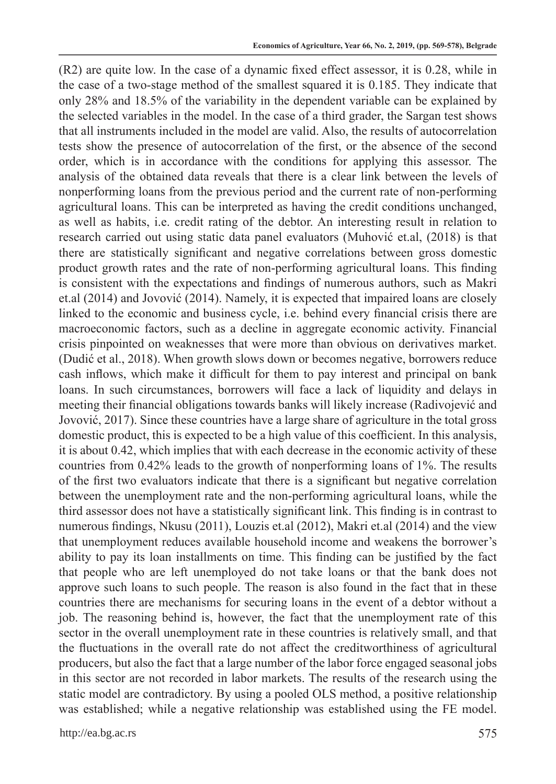(R2) are quite low. In the case of a dynamic fixed effect assessor, it is 0.28, while in the case of a two-stage method of the smallest squared it is 0.185. They indicate that only 28% and 18.5% of the variability in the dependent variable can be explained by the selected variables in the model. In the case of a third grader, the Sargan test shows that all instruments included in the model are valid. Also, the results of autocorrelation tests show the presence of autocorrelation of the first, or the absence of the second order, which is in accordance with the conditions for applying this assessor. The analysis of the obtained data reveals that there is a clear link between the levels of nonperforming loans from the previous period and the current rate of non-performing agricultural loans. This can be interpreted as having the credit conditions unchanged, as well as habits, i.e. credit rating of the debtor. An interesting result in relation to research carried out using static data panel evaluators (Muhović et.al, (2018) is that there are statistically significant and negative correlations between gross domestic product growth rates and the rate of non-performing agricultural loans. This finding is consistent with the expectations and findings of numerous authors, such as Makri et.al (2014) and Jovović (2014). Namely, it is expected that impaired loans are closely linked to the economic and business cycle, i.e. behind every financial crisis there are macroeconomic factors, such as a decline in aggregate economic activity. Financial crisis pinpointed on weaknesses that were more than obvious on derivatives market. (Dudić et al., 2018). When growth slows down or becomes negative, borrowers reduce cash inflows, which make it difficult for them to pay interest and principal on bank loans. In such circumstances, borrowers will face a lack of liquidity and delays in meeting their financial obligations towards banks will likely increase (Radivojević and Jovović, 2017). Since these countries have a large share of agriculture in the total gross domestic product, this is expected to be a high value of this coefficient. In this analysis, it is about 0.42, which implies that with each decrease in the economic activity of these countries from 0.42% leads to the growth of nonperforming loans of 1%. The results of the first two evaluators indicate that there is a significant but negative correlation between the unemployment rate and the non-performing agricultural loans, while the third assessor does not have a statistically significant link. This finding is in contrast to numerous findings, Nkusu (2011), Louzis et.al (2012), Makri et.al (2014) and the view that unemployment reduces available household income and weakens the borrower's ability to pay its loan installments on time. This finding can be justified by the fact that people who are left unemployed do not take loans or that the bank does not approve such loans to such people. The reason is also found in the fact that in these countries there are mechanisms for securing loans in the event of a debtor without a job. The reasoning behind is, however, the fact that the unemployment rate of this sector in the overall unemployment rate in these countries is relatively small, and that the fluctuations in the overall rate do not affect the creditworthiness of agricultural producers, but also the fact that a large number of the labor force engaged seasonal jobs in this sector are not recorded in labor markets. The results of the research using the static model are contradictory. By using a pooled OLS method, a positive relationship was established; while a negative relationship was established using the FE model.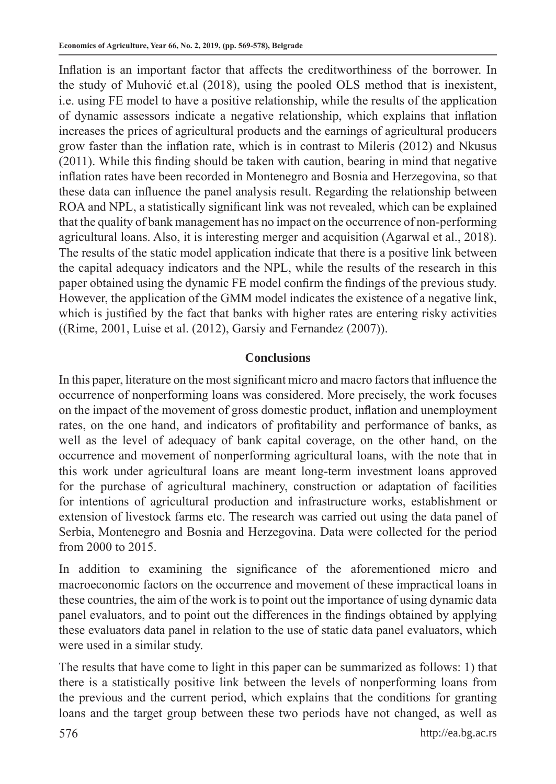Inflation is an important factor that affects the creditworthiness of the borrower. In the study of Muhović et.al (2018), using the pooled OLS method that is inexistent, i.e. using FE model to have a positive relationship, while the results of the application of dynamic assessors indicate a negative relationship, which explains that inflation increases the prices of agricultural products and the earnings of agricultural producers grow faster than the inflation rate, which is in contrast to Mileris (2012) and Nkusus (2011). While this finding should be taken with caution, bearing in mind that negative inflation rates have been recorded in Montenegro and Bosnia and Herzegovina, so that these data can influence the panel analysis result. Regarding the relationship between ROA and NPL, a statistically significant link was not revealed, which can be explained that the quality of bank management has no impact on the occurrence of non-performing agricultural loans. Also, it is interesting merger and acquisition (Agarwal et al., 2018). The results of the static model application indicate that there is a positive link between the capital adequacy indicators and the NPL, while the results of the research in this paper obtained using the dynamic FE model confirm the findings of the previous study. However, the application of the GMM model indicates the existence of a negative link, which is justified by the fact that banks with higher rates are entering risky activities ((Rime, 2001, Luise et al. (2012), Garsiy and Fernandez (2007)).

# **Conclusions**

In this paper, literature on the most significant micro and macro factors that influence the occurrence of nonperforming loans was considered. More precisely, the work focuses on the impact of the movement of gross domestic product, inflation and unemployment rates, on the one hand, and indicators of profitability and performance of banks, as well as the level of adequacy of bank capital coverage, on the other hand, on the occurrence and movement of nonperforming agricultural loans, with the note that in this work under agricultural loans are meant long-term investment loans approved for the purchase of agricultural machinery, construction or adaptation of facilities for intentions of agricultural production and infrastructure works, establishment or extension of livestock farms etc. The research was carried out using the data panel of Serbia, Montenegro and Bosnia and Herzegovina. Data were collected for the period from 2000 to 2015.

In addition to examining the significance of the aforementioned micro and macroeconomic factors on the occurrence and movement of these impractical loans in these countries, the aim of the work is to point out the importance of using dynamic data panel evaluators, and to point out the differences in the findings obtained by applying these evaluators data panel in relation to the use of static data panel evaluators, which were used in a similar study.

The results that have come to light in this paper can be summarized as follows: 1) that there is a statistically positive link between the levels of nonperforming loans from the previous and the current period, which explains that the conditions for granting loans and the target group between these two periods have not changed, as well as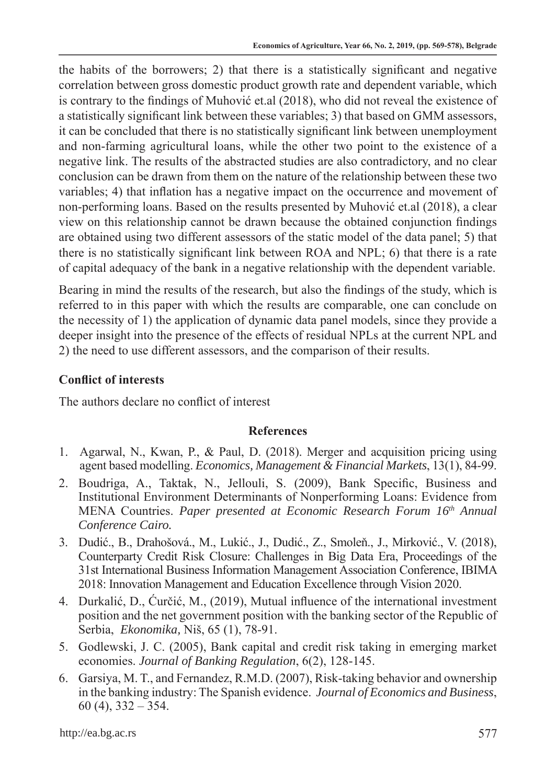the habits of the borrowers; 2) that there is a statistically significant and negative correlation between gross domestic product growth rate and dependent variable, which is contrary to the findings of Muhović et.al (2018), who did not reveal the existence of a statistically significant link between these variables; 3) that based on GMM assessors, it can be concluded that there is no statistically significant link between unemployment and non-farming agricultural loans, while the other two point to the existence of a negative link. The results of the abstracted studies are also contradictory, and no clear conclusion can be drawn from them on the nature of the relationship between these two variables; 4) that inflation has a negative impact on the occurrence and movement of non-performing loans. Based on the results presented by Muhović et.al (2018), a clear view on this relationship cannot be drawn because the obtained conjunction findings are obtained using two different assessors of the static model of the data panel; 5) that there is no statistically significant link between ROA and NPL; 6) that there is a rate of capital adequacy of the bank in a negative relationship with the dependent variable.

Bearing in mind the results of the research, but also the findings of the study, which is referred to in this paper with which the results are comparable, one can conclude on the necessity of 1) the application of dynamic data panel models, since they provide a deeper insight into the presence of the effects of residual NPLs at the current NPL and 2) the need to use different assessors, and the comparison of their results.

# **Conflict of interests**

The authors declare no conflict of interest

### **References**

- 1. Agarwal, N., Kwan, P., & Paul, D. (2018). Merger and acquisition pricing using agent based modelling. *Economics, Management & Financial Markets*, 13(1), 84-99.
- 2. Boudriga, A., Taktak, N., Jellouli, S. (2009), Bank Specific, Business and Institutional Environment Determinants of Nonperforming Loans: Evidence from MENA Countries. *Paper presented at Economic Research Forum 16th Annual Conference Cairo.*
- 3. Dudić., B., Drahošová., M., Lukić., J., Dudić., Z., Smoleň., J., Mirković., V. (2018), Counterparty Credit Risk Closure: Challenges in Big Data Era, Proceedings of the 31st International Business Information Management Association Conference, IBIMA 2018: Innovation Management and Education Excellence through Vision 2020.
- 4. Durkalić, D., Ćurčić, M., (2019), Mutual influence of the international investment position and the net government position with the banking sector of the Republic of Serbia, *Ekonomika,* Niš, 65 (1), 78-91.
- 5. Godlewski, J. C. (2005), Bank capital and credit risk taking in emerging market economies. *Journal of Banking Regulation*, 6(2), 128-145.
- 6. Garsiya, M. T., and Fernandez, R.M.D. (2007), Risk-taking behavior and ownership in the banking industry: The Spanish evidence. *Journal of Economics and Business*, 60 (4), 332 – 354.